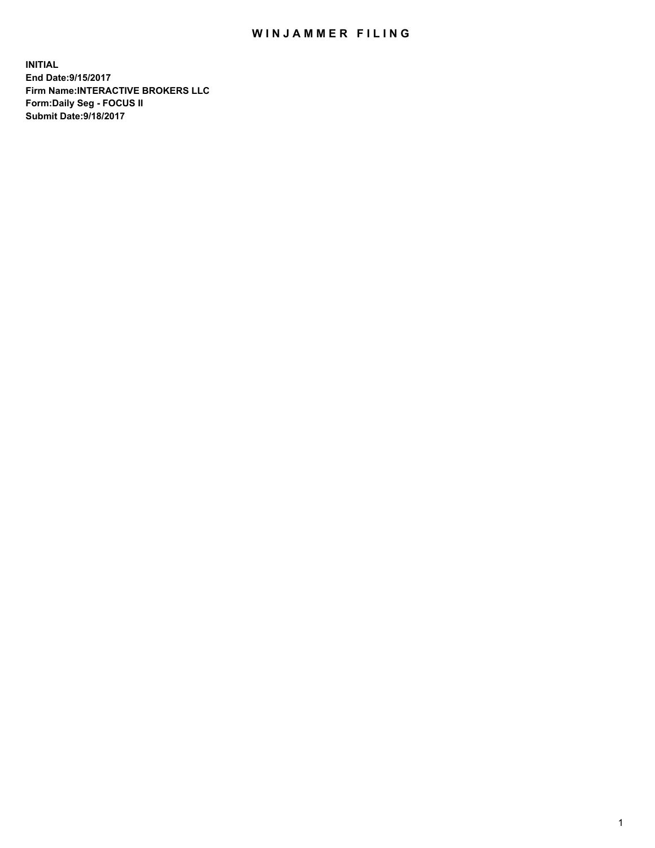## WIN JAMMER FILING

**INITIAL End Date:9/15/2017 Firm Name:INTERACTIVE BROKERS LLC Form:Daily Seg - FOCUS II Submit Date:9/18/2017**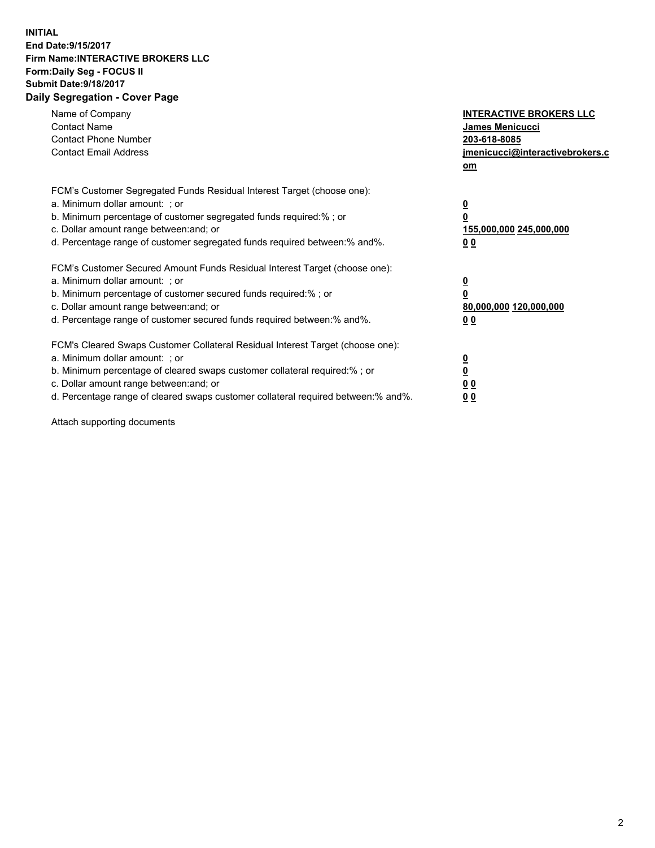## **INITIAL End Date:9/15/2017 Firm Name:INTERACTIVE BROKERS LLC Form:Daily Seg - FOCUS II Submit Date:9/18/2017 Daily Segregation - Cover Page**

| Name of Company<br><b>Contact Name</b><br><b>Contact Phone Number</b><br><b>Contact Email Address</b>                                                                                                                                                                                                                          | <b>INTERACTIVE BROKERS LLC</b><br>James Menicucci<br>203-618-8085<br>jmenicucci@interactivebrokers.c<br>om |
|--------------------------------------------------------------------------------------------------------------------------------------------------------------------------------------------------------------------------------------------------------------------------------------------------------------------------------|------------------------------------------------------------------------------------------------------------|
| FCM's Customer Segregated Funds Residual Interest Target (choose one):<br>a. Minimum dollar amount: ; or<br>b. Minimum percentage of customer segregated funds required:%; or<br>c. Dollar amount range between: and; or<br>d. Percentage range of customer segregated funds required between:% and%.                          | $\overline{\mathbf{0}}$<br>0<br>155,000,000 245,000,000<br>0 <sub>0</sub>                                  |
| FCM's Customer Secured Amount Funds Residual Interest Target (choose one):<br>a. Minimum dollar amount: ; or<br>b. Minimum percentage of customer secured funds required:%; or<br>c. Dollar amount range between: and; or<br>d. Percentage range of customer secured funds required between:% and%.                            | $\overline{\mathbf{0}}$<br>$\overline{\mathbf{0}}$<br>80,000,000 120,000,000<br>00                         |
| FCM's Cleared Swaps Customer Collateral Residual Interest Target (choose one):<br>a. Minimum dollar amount: ; or<br>b. Minimum percentage of cleared swaps customer collateral required:% ; or<br>c. Dollar amount range between: and; or<br>d. Percentage range of cleared swaps customer collateral required between:% and%. | $\overline{\mathbf{0}}$<br>$\overline{\mathbf{0}}$<br>0 <sub>0</sub><br><u>00</u>                          |

Attach supporting documents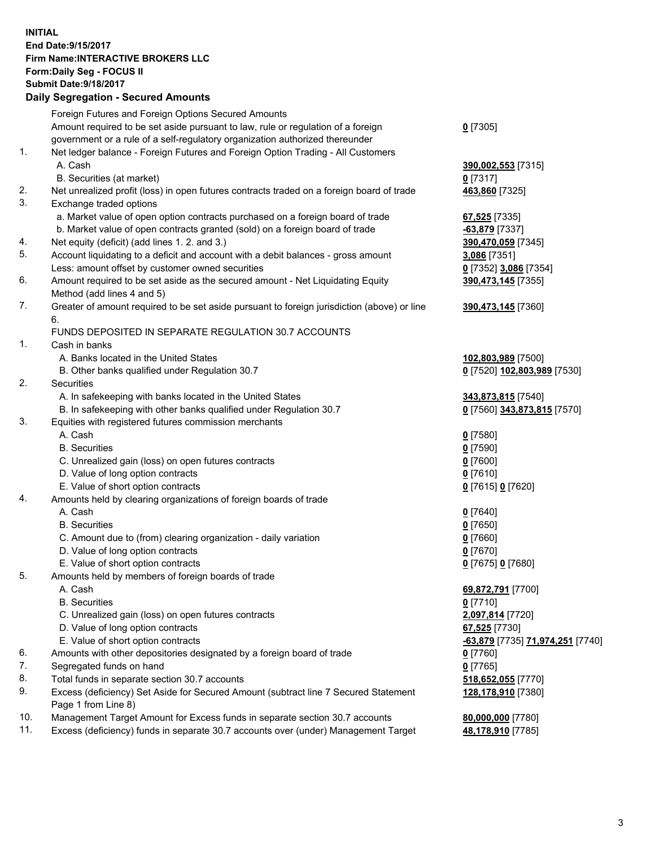## **INITIAL End Date:9/15/2017 Firm Name:INTERACTIVE BROKERS LLC Form:Daily Seg - FOCUS II Submit Date:9/18/2017 Daily Segregation - Secured Amounts**

|          | Daily Segregation - Secured Amounts                                                         |                                  |
|----------|---------------------------------------------------------------------------------------------|----------------------------------|
|          | Foreign Futures and Foreign Options Secured Amounts                                         |                                  |
|          | Amount required to be set aside pursuant to law, rule or regulation of a foreign            | $0$ [7305]                       |
|          | government or a rule of a self-regulatory organization authorized thereunder                |                                  |
| 1.       | Net ledger balance - Foreign Futures and Foreign Option Trading - All Customers             |                                  |
|          | A. Cash                                                                                     | 390,002,553 [7315]               |
|          | B. Securities (at market)                                                                   | $0$ [7317]                       |
| 2.       | Net unrealized profit (loss) in open futures contracts traded on a foreign board of trade   | 463,860 [7325]                   |
| 3.       | Exchange traded options                                                                     |                                  |
|          | a. Market value of open option contracts purchased on a foreign board of trade              |                                  |
|          |                                                                                             | 67,525 [7335]                    |
|          | b. Market value of open contracts granted (sold) on a foreign board of trade                | $-63,879$ [7337]                 |
| 4.<br>5. | Net equity (deficit) (add lines 1. 2. and 3.)                                               | 390,470,059 [7345]               |
|          | Account liquidating to a deficit and account with a debit balances - gross amount           | 3,086 [7351]                     |
|          | Less: amount offset by customer owned securities                                            | 0 [7352] 3,086 [7354]            |
| 6.       | Amount required to be set aside as the secured amount - Net Liquidating Equity              | 390,473,145 [7355]               |
|          | Method (add lines 4 and 5)                                                                  |                                  |
| 7.       | Greater of amount required to be set aside pursuant to foreign jurisdiction (above) or line | 390,473,145 [7360]               |
|          | 6.                                                                                          |                                  |
|          | FUNDS DEPOSITED IN SEPARATE REGULATION 30.7 ACCOUNTS                                        |                                  |
| 1.       | Cash in banks                                                                               |                                  |
|          | A. Banks located in the United States                                                       | 102,803,989 [7500]               |
|          | B. Other banks qualified under Regulation 30.7                                              | 0 [7520] 102,803,989 [7530]      |
| 2.       | Securities                                                                                  |                                  |
|          | A. In safekeeping with banks located in the United States                                   | 343,873,815 [7540]               |
|          | B. In safekeeping with other banks qualified under Regulation 30.7                          | 0 [7560] 343,873,815 [7570]      |
| 3.       | Equities with registered futures commission merchants                                       |                                  |
|          | A. Cash                                                                                     | $0$ [7580]                       |
|          | <b>B.</b> Securities                                                                        | $0$ [7590]                       |
|          | C. Unrealized gain (loss) on open futures contracts                                         | $0$ [7600]                       |
|          | D. Value of long option contracts                                                           | $0$ [7610]                       |
|          | E. Value of short option contracts                                                          | 0 [7615] 0 [7620]                |
| 4.       | Amounts held by clearing organizations of foreign boards of trade                           |                                  |
|          | A. Cash                                                                                     | $0$ [7640]                       |
|          | <b>B.</b> Securities                                                                        | $0$ [7650]                       |
|          | C. Amount due to (from) clearing organization - daily variation                             | $0$ [7660]                       |
|          | D. Value of long option contracts                                                           | $0$ [7670]                       |
|          | E. Value of short option contracts                                                          | 0 [7675] 0 [7680]                |
| 5.       | Amounts held by members of foreign boards of trade                                          |                                  |
|          | A. Cash                                                                                     | 69,872,791 [7700]                |
|          | <b>B.</b> Securities                                                                        | $0$ [7710]                       |
|          | C. Unrealized gain (loss) on open futures contracts                                         | 2,097,814 [7720]                 |
|          | D. Value of long option contracts                                                           | 67,525 [7730]                    |
|          | E. Value of short option contracts                                                          | -63,879 [7735] 71,974,251 [7740] |
| 6.       | Amounts with other depositories designated by a foreign board of trade                      | 0 [7760]                         |
| 7.       | Segregated funds on hand                                                                    | $0$ [7765]                       |
| 8.       | Total funds in separate section 30.7 accounts                                               | 518,652,055 [7770]               |
| 9.       | Excess (deficiency) Set Aside for Secured Amount (subtract line 7 Secured Statement         | 128,178,910 [7380]               |
|          | Page 1 from Line 8)                                                                         |                                  |
| 10.      | Management Target Amount for Excess funds in separate section 30.7 accounts                 |                                  |
| 11.      | Excess (deficiency) funds in separate 30.7 accounts over (under) Management Target          | 80,000,000 [7780]                |
|          |                                                                                             | 48,178,910 [7785]                |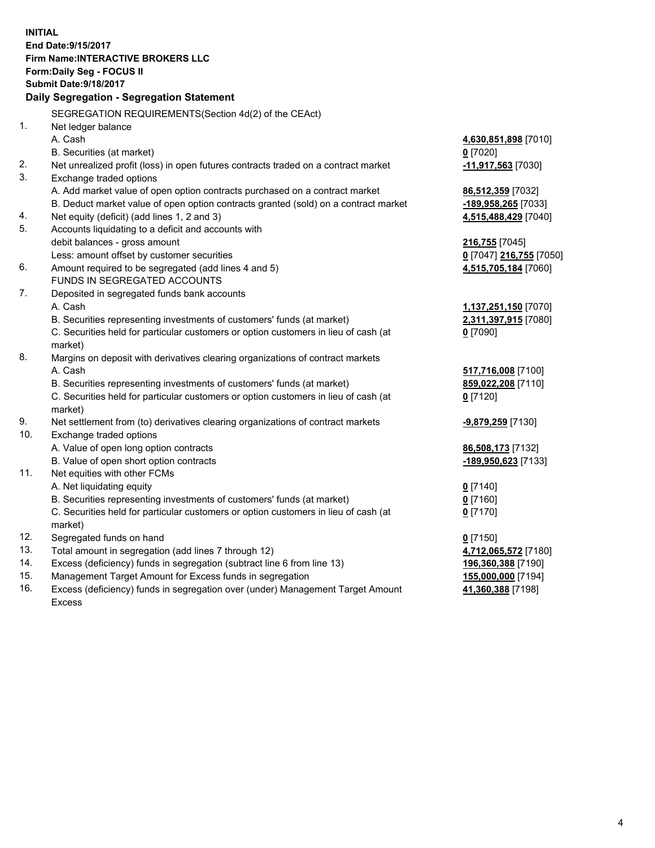**INITIAL End Date:9/15/2017 Firm Name:INTERACTIVE BROKERS LLC Form:Daily Seg - FOCUS II Submit Date:9/18/2017 Daily Segregation - Segregation Statement** SEGREGATION REQUIREMENTS(Section 4d(2) of the CEAct) 1. Net ledger balance A. Cash **4,630,851,898** [7010] B. Securities (at market) **0** [7020] 2. Net unrealized profit (loss) in open futures contracts traded on a contract market **-11,917,563** [7030] 3. Exchange traded options A. Add market value of open option contracts purchased on a contract market **86,512,359** [7032] B. Deduct market value of open option contracts granted (sold) on a contract market **-189,958,265** [7033] 4. Net equity (deficit) (add lines 1, 2 and 3) **4,515,488,429** [7040] 5. Accounts liquidating to a deficit and accounts with debit balances - gross amount **216,755** [7045] Less: amount offset by customer securities **0** [7047] **216,755** [7050] 6. Amount required to be segregated (add lines 4 and 5) **4,515,705,184** [7060] FUNDS IN SEGREGATED ACCOUNTS 7. Deposited in segregated funds bank accounts A. Cash **1,137,251,150** [7070] B. Securities representing investments of customers' funds (at market) **2,311,397,915** [7080] C. Securities held for particular customers or option customers in lieu of cash (at market) **0** [7090] 8. Margins on deposit with derivatives clearing organizations of contract markets A. Cash **517,716,008** [7100] B. Securities representing investments of customers' funds (at market) **859,022,208** [7110] C. Securities held for particular customers or option customers in lieu of cash (at market) **0** [7120] 9. Net settlement from (to) derivatives clearing organizations of contract markets **-9,879,259** [7130] 10. Exchange traded options A. Value of open long option contracts **86,508,173** [7132] B. Value of open short option contracts **-189,950,623** [7133] 11. Net equities with other FCMs A. Net liquidating equity **0** [7140] B. Securities representing investments of customers' funds (at market) **0** [7160] C. Securities held for particular customers or option customers in lieu of cash (at market) **0** [7170] 12. Segregated funds on hand **0** [7150] 13. Total amount in segregation (add lines 7 through 12) **4,712,065,572** [7180] 14. Excess (deficiency) funds in segregation (subtract line 6 from line 13) **196,360,388** [7190] 15. Management Target Amount for Excess funds in segregation **155,000,000** [7194] 16. Excess (deficiency) funds in segregation over (under) Management Target Amount **41,360,388** [7198]

Excess